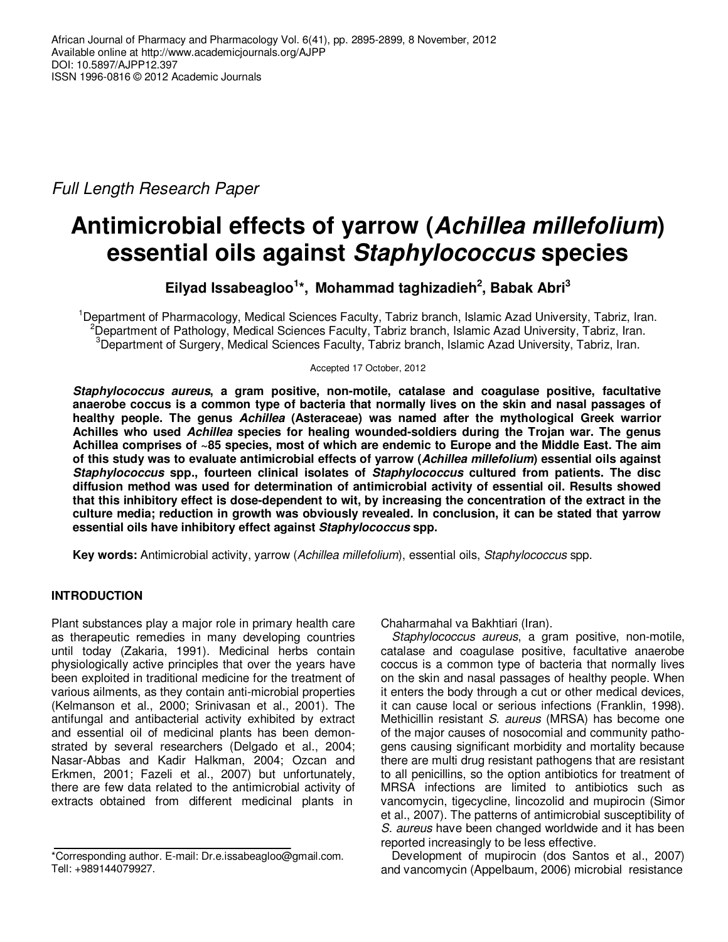Full Length Research Paper

# **Antimicrobial effects of yarrow (Achillea millefolium) essential oils against Staphylococcus species**

**Eilyad Issabeagloo<sup>1</sup> \*, Mohammad taghizadieh<sup>2</sup> , Babak Abri<sup>3</sup>**

<sup>1</sup>Department of Pharmacology, Medical Sciences Faculty, Tabriz branch, Islamic Azad University, Tabriz, Iran. <sup>2</sup>Department of Pathology, Medical Sciences Faculty, Tabriz branch, Islamic Azad University, Tabriz, Iran. <sup>3</sup>Department of Surgery, Medical Sciences Faculty, Tabriz branch, Islamic Azad University, Tabriz, Iran.

Accepted 17 October, 2012

**Staphylococcus aureus, a gram positive, non-motile, catalase and coagulase positive, facultative anaerobe coccus is a common type of bacteria that normally lives on the skin and nasal passages of healthy people. The genus Achillea (Asteraceae) was named after the mythological Greek warrior Achilles who used Achillea species for healing wounded-soldiers during the Trojan war. The genus Achillea comprises of ~85 species, most of which are endemic to Europe and the Middle East. The aim of this study was to evaluate antimicrobial effects of yarrow (Achillea millefolium) essential oils against Staphylococcus spp., fourteen clinical isolates of Staphylococcus cultured from patients. The disc diffusion method was used for determination of antimicrobial activity of essential oil. Results showed that this inhibitory effect is dose-dependent to wit, by increasing the concentration of the extract in the culture media; reduction in growth was obviously revealed. In conclusion, it can be stated that yarrow essential oils have inhibitory effect against Staphylococcus spp.** 

**Key words:** Antimicrobial activity, yarrow (Achillea millefolium), essential oils, Staphylococcus spp.

# **INTRODUCTION**

Plant substances play a major role in primary health care as therapeutic remedies in many developing countries until today (Zakaria, 1991). Medicinal herbs contain physiologically active principles that over the years have been exploited in traditional medicine for the treatment of various ailments, as they contain anti-microbial properties (Kelmanson et al., 2000; Srinivasan et al., 2001). The antifungal and antibacterial activity exhibited by extract and essential oil of medicinal plants has been demonstrated by several researchers (Delgado et al., 2004; Nasar-Abbas and Kadir Halkman, 2004; Ozcan and Erkmen, 2001; Fazeli et al., 2007) but unfortunately, there are few data related to the antimicrobial activity of extracts obtained from different medicinal plants in

Chaharmahal va Bakhtiari (Iran).

Staphylococcus aureus, a gram positive, non-motile, catalase and coagulase positive, facultative anaerobe coccus is a common type of bacteria that normally lives on the skin and nasal passages of healthy people. When it enters the body through a cut or other medical devices, it can cause local or serious infections (Franklin, 1998). Methicillin resistant S. aureus (MRSA) has become one of the major causes of nosocomial and community pathogens causing significant morbidity and mortality because there are multi drug resistant pathogens that are resistant to all penicillins, so the option antibiotics for treatment of MRSA infections are limited to antibiotics such as vancomycin, tigecycline, lincozolid and mupirocin (Simor et al., 2007). The patterns of antimicrobial susceptibility of S. aureus have been changed worldwide and it has been reported increasingly to be less effective.

Development of mupirocin (dos Santos et al., 2007) and vancomycin (Appelbaum, 2006) microbial resistance

<sup>\*</sup>Corresponding author. E-mail: Dr.e.issabeagloo@gmail.com. Tell: +989144079927.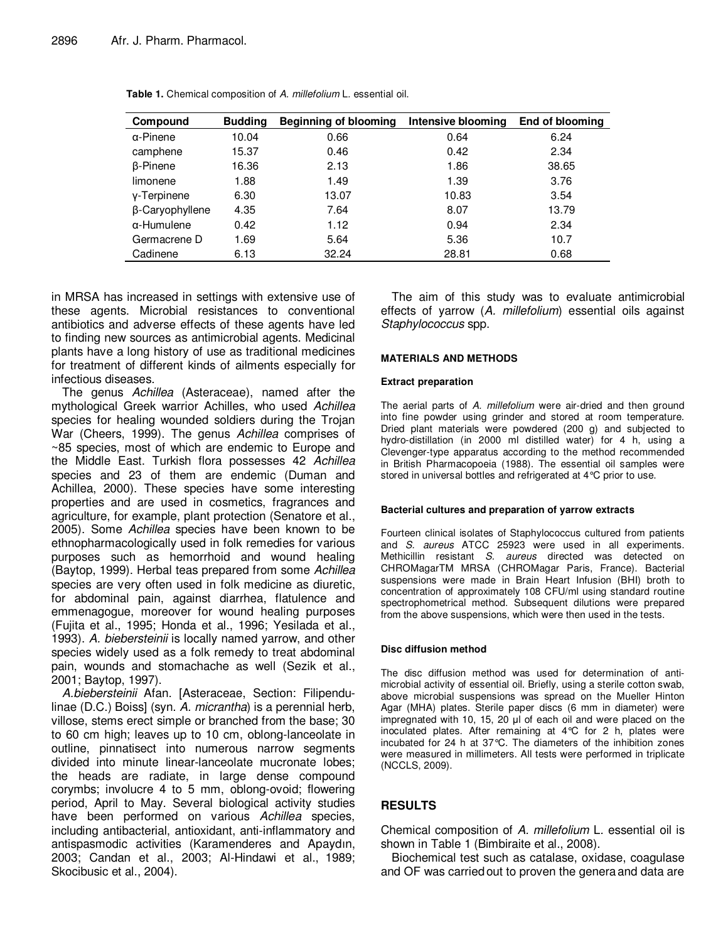| Compound           | <b>Budding</b> | Beginning of blooming | Intensive blooming | End of blooming |
|--------------------|----------------|-----------------------|--------------------|-----------------|
| $\alpha$ -Pinene   | 10.04          | 0.66                  | 0.64               | 6.24            |
| camphene           | 15.37          | 0.46                  | 0.42               | 2.34            |
| <b>B-Pinene</b>    | 16.36          | 2.13                  | 1.86               | 38.65           |
| limonene           | 1.88           | 1.49                  | 1.39               | 3.76            |
| y-Terpinene        | 6.30           | 13.07                 | 10.83              | 3.54            |
| β-Caryophyllene    | 4.35           | 7.64                  | 8.07               | 13.79           |
| $\alpha$ -Humulene | 0.42           | 1.12                  | 0.94               | 2.34            |
| Germacrene D       | 1.69           | 5.64                  | 5.36               | 10.7            |
| Cadinene           | 6.13           | 32.24                 | 28.81              | 0.68            |

Table 1. Chemical composition of A. millefolium L. essential oil.

in MRSA has increased in settings with extensive use of these agents. Microbial resistances to conventional antibiotics and adverse effects of these agents have led to finding new sources as antimicrobial agents. Medicinal plants have a long history of use as traditional medicines for treatment of different kinds of ailments especially for infectious diseases.

The genus Achillea (Asteraceae), named after the mythological Greek warrior Achilles, who used Achillea species for healing wounded soldiers during the Trojan War (Cheers, 1999). The genus Achillea comprises of ~85 species, most of which are endemic to Europe and the Middle East. Turkish flora possesses 42 Achillea species and 23 of them are endemic (Duman and Achillea, 2000). These species have some interesting properties and are used in cosmetics, fragrances and agriculture, for example, plant protection (Senatore et al., 2005). Some Achillea species have been known to be ethnopharmacologically used in folk remedies for various purposes such as hemorrhoid and wound healing (Baytop, 1999). Herbal teas prepared from some Achillea species are very often used in folk medicine as diuretic, for abdominal pain, against diarrhea, flatulence and emmenagogue, moreover for wound healing purposes (Fujita et al., 1995; Honda et al., 1996; Yesilada et al., 1993). A. biebersteinii is locally named yarrow, and other species widely used as a folk remedy to treat abdominal pain, wounds and stomachache as well (Sezik et al., 2001; Baytop, 1997).

A.biebersteinii Afan. [Asteraceae, Section: Filipendulinae (D.C.) Boiss] (syn. A. micrantha) is a perennial herb, villose, stems erect simple or branched from the base; 30 to 60 cm high; leaves up to 10 cm, oblong-lanceolate in outline, pinnatisect into numerous narrow segments divided into minute linear-lanceolate mucronate lobes; the heads are radiate, in large dense compound corymbs; involucre 4 to 5 mm, oblong-ovoid; flowering period, April to May. Several biological activity studies have been performed on various Achillea species, including antibacterial, antioxidant, anti-inflammatory and antispasmodic activities (Karamenderes and Apaydın, 2003; Candan et al., 2003; Al-Hindawi et al., 1989; Skocibusic et al., 2004).

The aim of this study was to evaluate antimicrobial effects of yarrow (A. millefolium) essential oils against Staphylococcus spp.

#### **MATERIALS AND METHODS**

#### **Extract preparation**

The aerial parts of A. millefolium were air-dried and then ground into fine powder using grinder and stored at room temperature. Dried plant materials were powdered (200 g) and subjected to hydro-distillation (in 2000 ml distilled water) for 4 h, using a Clevenger-type apparatus according to the method recommended in British Pharmacopoeia (1988). The essential oil samples were stored in universal bottles and refrigerated at 4°C prior to use.

#### **Bacterial cultures and preparation of yarrow extracts**

Fourteen clinical isolates of Staphylococcus cultured from patients and S. aureus ATCC 25923 were used in all experiments. Methicillin resistant S. aureus directed was detected on CHROMagarTM MRSA (CHROMagar Paris, France). Bacterial suspensions were made in Brain Heart Infusion (BHI) broth to concentration of approximately 108 CFU/ml using standard routine spectrophometrical method. Subsequent dilutions were prepared from the above suspensions, which were then used in the tests.

#### **Disc diffusion method**

The disc diffusion method was used for determination of antimicrobial activity of essential oil. Briefly, using a sterile cotton swab, above microbial suspensions was spread on the Mueller Hinton Agar (MHA) plates. Sterile paper discs (6 mm in diameter) were impregnated with 10, 15, 20 µl of each oil and were placed on the inoculated plates. After remaining at 4°C for 2 h, plates were incubated for 24 h at 37°C. The diameters of the inhibition zones were measured in millimeters. All tests were performed in triplicate (NCCLS, 2009).

## **RESULTS**

Chemical composition of A. millefolium L. essential oil is shown in Table 1 (Bimbiraite et al., 2008).

Biochemical test such as catalase, oxidase, coagulase and OF was carriedout to proven the generaand data are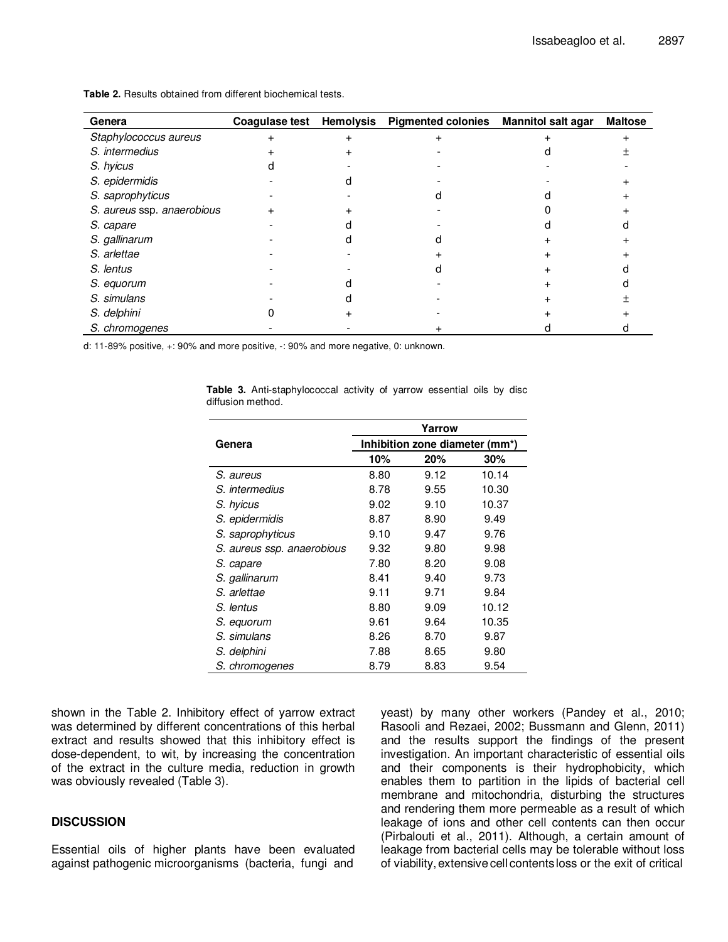| Genera                     |  | Coagulase test Hemolysis Pigmented colonies Mannitol salt agar | <b>Maltose</b> |
|----------------------------|--|----------------------------------------------------------------|----------------|
| Staphylococcus aureus      |  |                                                                |                |
| S. intermedius             |  |                                                                |                |
| S. hyicus                  |  |                                                                |                |
| S. epidermidis             |  |                                                                |                |
| S. saprophyticus           |  |                                                                |                |
| S. aureus ssp. anaerobious |  |                                                                |                |
| S. capare                  |  |                                                                |                |
| S. gallinarum              |  |                                                                |                |
| S. arlettae                |  |                                                                |                |
| S. lentus                  |  |                                                                |                |
| S. equorum                 |  |                                                                |                |
| S. simulans                |  |                                                                |                |
| S. delphini                |  |                                                                |                |
| S. chromogenes             |  |                                                                |                |

**Table 2.** Results obtained from different biochemical tests.

d: 11-89% positive, +: 90% and more positive, -: 90% and more negative, 0: unknown.

|                            | Yarrow                         |      |       |  |  |
|----------------------------|--------------------------------|------|-------|--|--|
| Genera                     | Inhibition zone diameter (mm*) |      |       |  |  |
|                            | 10%                            | 20%  | 30%   |  |  |
| S. aureus                  | 8.80                           | 9.12 | 10.14 |  |  |
| S. intermedius             | 8.78                           | 9.55 | 10.30 |  |  |
| S. hyicus                  | 9.02                           | 9.10 | 10.37 |  |  |
| S. epidermidis             | 8.87                           | 8.90 | 9.49  |  |  |
| S. saprophyticus           | 9.10                           | 9.47 | 9.76  |  |  |
| S. aureus ssp. anaerobious | 9.32                           | 9.80 | 9.98  |  |  |
| S. capare                  | 7.80                           | 8.20 | 9.08  |  |  |
| S. gallinarum              | 8.41                           | 9.40 | 9.73  |  |  |
| S. arlettae                | 9.11                           | 9.71 | 9.84  |  |  |
| S. lentus                  | 8.80                           | 9.09 | 10.12 |  |  |
| S. equorum                 | 9.61                           | 9.64 | 10.35 |  |  |
| S. simulans                | 8.26                           | 8.70 | 9.87  |  |  |
| S. delphini                | 7.88                           | 8.65 | 9.80  |  |  |
| S. chromogenes             | 8.79                           | 8.83 | 9.54  |  |  |

**Table 3.** Anti-staphylococcal activity of yarrow essential oils by disc diffusion method.

shown in the Table 2. Inhibitory effect of yarrow extract was determined by different concentrations of this herbal extract and results showed that this inhibitory effect is dose-dependent, to wit, by increasing the concentration of the extract in the culture media, reduction in growth was obviously revealed (Table 3).

## **DISCUSSION**

Essential oils of higher plants have been evaluated against pathogenic microorganisms (bacteria, fungi and yeast) by many other workers (Pandey et al., 2010; Rasooli and Rezaei, 2002; Bussmann and Glenn, 2011) and the results support the findings of the present investigation. An important characteristic of essential oils and their components is their hydrophobicity, which enables them to partition in the lipids of bacterial cell membrane and mitochondria, disturbing the structures and rendering them more permeable as a result of which leakage of ions and other cell contents can then occur (Pirbalouti et al., 2011). Although, a certain amount of leakage from bacterial cells may be tolerable without loss of viability, extensivecell contentsloss or the exit of critical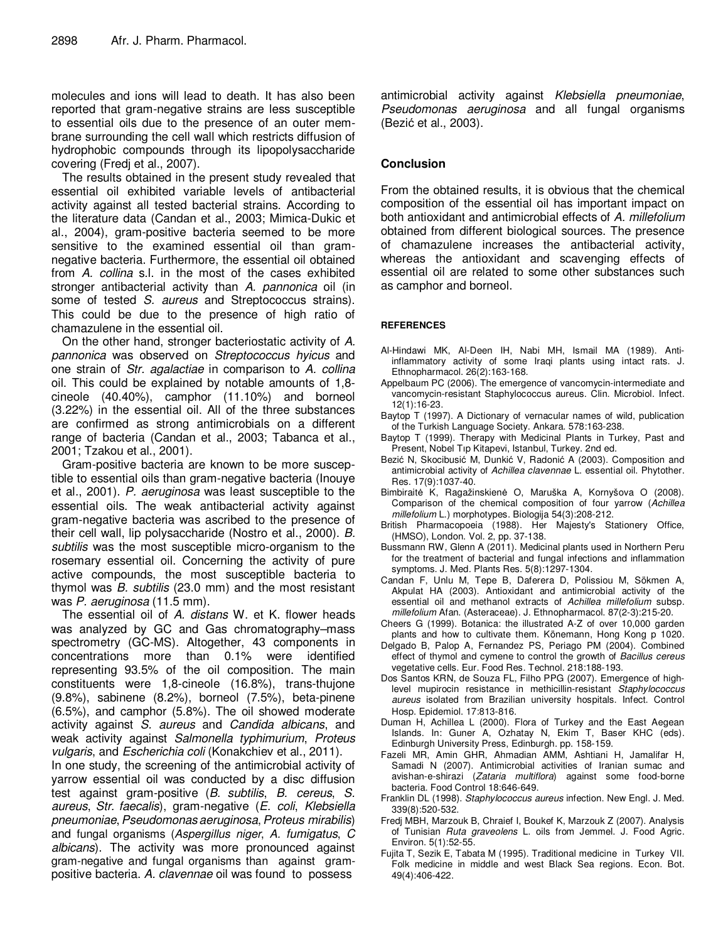molecules and ions will lead to death. It has also been reported that gram-negative strains are less susceptible to essential oils due to the presence of an outer membrane surrounding the cell wall which restricts diffusion of hydrophobic compounds through its lipopolysaccharide covering (Fredj et al., 2007).

The results obtained in the present study revealed that essential oil exhibited variable levels of antibacterial activity against all tested bacterial strains. According to the literature data (Candan et al., 2003; Mimica-Dukic et al., 2004), gram-positive bacteria seemed to be more sensitive to the examined essential oil than gramnegative bacteria. Furthermore, the essential oil obtained from A. collina s.l. in the most of the cases exhibited stronger antibacterial activity than A. pannonica oil (in some of tested S. aureus and Streptococcus strains). This could be due to the presence of high ratio of chamazulene in the essential oil.

On the other hand, stronger bacteriostatic activity of A. pannonica was observed on Streptococcus hyicus and one strain of Str. agalactiae in comparison to A. collina oil. This could be explained by notable amounts of 1,8 cineole (40.40%), camphor (11.10%) and borneol (3.22%) in the essential oil. All of the three substances are confirmed as strong antimicrobials on a different range of bacteria (Candan et al., 2003; Tabanca et al., 2001; Tzakou et al., 2001).

Gram-positive bacteria are known to be more susceptible to essential oils than gram-negative bacteria (Inouye et al., 2001). P. aeruginosa was least susceptible to the essential oils. The weak antibacterial activity against gram-negative bacteria was ascribed to the presence of their cell wall, lip polysaccharide (Nostro et al., 2000). B. subtilis was the most susceptible micro-organism to the rosemary essential oil. Concerning the activity of pure active compounds, the most susceptible bacteria to thymol was  $B$ . subtilis (23.0 mm) and the most resistant was P. aeruginosa (11.5 mm).

The essential oil of A. distans W. et K. flower heads was analyzed by GC and Gas chromatography–mass spectrometry (GC-MS). Altogether, 43 components in concentrations more than 0.1% were identified representing 93.5% of the oil composition. The main constituents were 1,8-cineole (16.8%), trans-thujone (9.8%), sabinene (8.2%), borneol (7.5%), beta-pinene (6.5%), and camphor (5.8%). The oil showed moderate activity against S. aureus and Candida albicans, and weak activity against Salmonella typhimurium, Proteus vulgaris, and Escherichia coli (Konakchiev et al., 2011).

In one study, the screening of the antimicrobial activity of yarrow essential oil was conducted by a disc diffusion test against gram-positive (B. subtilis, B. cereus, S. aureus, Str. faecalis), gram-negative (E. coli, Klebsiella pneumoniae, Pseudomonas aeruginosa, Proteus mirabilis) and fungal organisms (Aspergillus niger, A. fumigatus, C albicans). The activity was more pronounced against gram-negative and fungal organisms than against grampositive bacteria. A. clavennae oil was found to possess

antimicrobial activity against Klebsiella pneumoniae, Pseudomonas aeruginosa and all fungal organisms (Bezić et al., 2003).

# **Conclusion**

From the obtained results, it is obvious that the chemical composition of the essential oil has important impact on both antioxidant and antimicrobial effects of A. millefolium obtained from different biological sources. The presence of chamazulene increases the antibacterial activity, whereas the antioxidant and scavenging effects of essential oil are related to some other substances such as camphor and borneol.

### **REFERENCES**

- Al-Hindawi MK, Al-Deen IH, Nabi MH, Ismail MA (1989). Antiinflammatory activity of some Iraqi plants using intact rats. J. Ethnopharmacol. 26(2):163-168.
- Appelbaum PC (2006). The emergence of vancomycin-intermediate and vancomycin-resistant Staphylococcus aureus. Clin. Microbiol. Infect. 12(1):16-23.
- Baytop T (1997). A Dictionary of vernacular names of wild, publication of the Turkish Language Society. Ankara. 578:163-238.
- Baytop T (1999). Therapy with Medicinal Plants in Turkey, Past and Present, Nobel Tıp Kitapevi, Istanbul, Turkey. 2nd ed.
- Bezić N, Skocibusić M, Dunkić V, Radonić A (2003). Composition and antimicrobial activity of Achillea clavennae L. essential oil. Phytother. Res. 17(9):1037-40.
- Bimbiraitė K, Ragažinskienė O, Maruška A, Kornyšova O (2008). Comparison of the chemical composition of four yarrow (Achillea millefolium L.) morphotypes. Biologija 54(3):208-212.
- British Pharmacopoeia (1988). Her Majesty's Stationery Office, (HMSO), London. Vol. 2, pp. 37-138.
- Bussmann RW, Glenn A (2011). Medicinal plants used in Northern Peru for the treatment of bacterial and fungal infections and inflammation symptoms. J. Med. Plants Res. 5(8):1297-1304.
- Candan F, Unlu M, Tepe B, Daferera D, Polissiou M, Sökmen A, Akpulat HA (2003). Antioxidant and antimicrobial activity of the essential oil and methanol extracts of Achillea millefolium subsp. millefolium Afan. (Asteraceae). J. Ethnopharmacol. 87(2-3):215-20.
- Cheers G (1999). Botanica: the illustrated A-Z of over 10,000 garden plants and how to cultivate them. Könemann, Hong Kong p 1020.
- Delgado B, Palop A, Fernandez PS, Periago PM (2004). Combined effect of thymol and cymene to control the growth of Bacillus cereus vegetative cells. Eur. Food Res. Technol. 218:188-193.
- Dos Santos KRN, de Souza FL, Filho PPG (2007). Emergence of highlevel mupirocin resistance in methicillin-resistant Staphylococcus aureus isolated from Brazilian university hospitals. Infect. Control Hosp. Epidemiol. 17:813-816.
- Duman H, Achillea L (2000). Flora of Turkey and the East Aegean Islands. In: Guner A, Ozhatay N, Ekim T, Baser KHC (eds). Edinburgh University Press, Edinburgh. pp. 158-159.
- Fazeli MR, Amin GHR, Ahmadian AMM, Ashtiani H, Jamalifar H, Samadi N (2007). Antimicrobial activities of Iranian sumac and avishan-e-shirazi (Zataria multiflora) against some food-borne bacteria. Food Control 18:646-649.
- Franklin DL (1998). Staphylococcus aureus infection. New Engl. J. Med. 339(8):520-532.
- Fredj MBH, Marzouk B, Chraief I, Boukef K, Marzouk Z (2007). Analysis of Tunisian Ruta graveolens L. oils from Jemmel. J. Food Agric. Environ. 5(1):52-55.
- Fujita T, Sezik E, Tabata M (1995). Traditional medicine in Turkey VII. Folk medicine in middle and west Black Sea regions. Econ. Bot. 49(4):406-422.